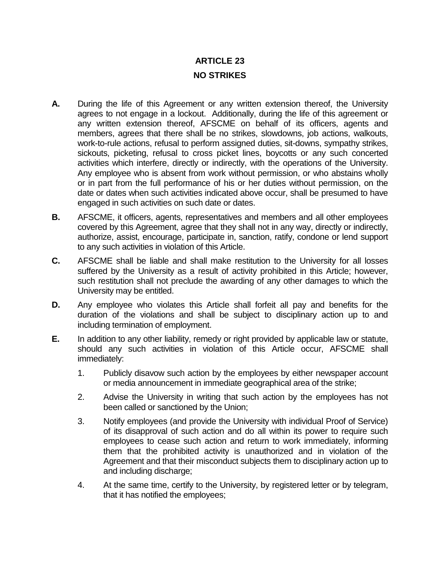## **ARTICLE 23 NO STRIKES**

- **A.** During the life of this Agreement or any written extension thereof, the University agrees to not engage in a lockout. Additionally, during the life of this agreement or any written extension thereof, AFSCME on behalf of its officers, agents and members, agrees that there shall be no strikes, slowdowns, job actions, walkouts, work-to-rule actions, refusal to perform assigned duties, sit-downs, sympathy strikes, sickouts, picketing, refusal to cross picket lines, boycotts or any such concerted activities which interfere, directly or indirectly, with the operations of the University. Any employee who is absent from work without permission, or who abstains wholly or in part from the full performance of his or her duties without permission, on the date or dates when such activities indicated above occur, shall be presumed to have engaged in such activities on such date or dates.
- **B.** AFSCME, it officers, agents, representatives and members and all other employees covered by this Agreement, agree that they shall not in any way, directly or indirectly, authorize, assist, encourage, participate in, sanction, ratify, condone or lend support to any such activities in violation of this Article.
- **C.** AFSCME shall be liable and shall make restitution to the University for all losses suffered by the University as a result of activity prohibited in this Article; however, such restitution shall not preclude the awarding of any other damages to which the University may be entitled.
- **D.** Any employee who violates this Article shall forfeit all pay and benefits for the duration of the violations and shall be subject to disciplinary action up to and including termination of employment.
- **E.** In addition to any other liability, remedy or right provided by applicable law or statute, should any such activities in violation of this Article occur, AFSCME shall immediately:
	- 1. Publicly disavow such action by the employees by either newspaper account or media announcement in immediate geographical area of the strike;
	- 2. Advise the University in writing that such action by the employees has not been called or sanctioned by the Union;
	- 3. Notify employees (and provide the University with individual Proof of Service) of its disapproval of such action and do all within its power to require such employees to cease such action and return to work immediately, informing them that the prohibited activity is unauthorized and in violation of the Agreement and that their misconduct subjects them to disciplinary action up to and including discharge;
	- 4. At the same time, certify to the University, by registered letter or by telegram, that it has notified the employees;